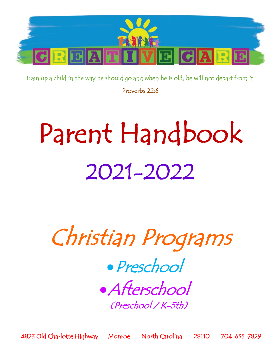

Train up a child in the way he should go and when he is old, he will not depart from it. Proverbs 22:6

# Parent Handbook 2021-2022

Christian Programs

•Preschool •Afterschool (Preschool / K-5th)

4823 Old Charlotte Highway Monroe North Carolina 28110 704-635-7829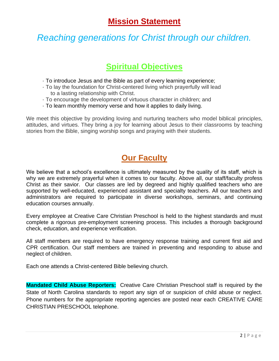# **Mission Statement**

# *Reaching generations for Christ through our children.*

# **Spiritual Objectives**

- · To introduce Jesus and the Bible as part of every learning experience;
- · To lay the foundation for Christ-centered living which prayerfully will lead to a lasting relationship with Christ.
- · To encourage the development of virtuous character in children; and
- · To learn monthly memory verse and how it applies to daily living.

We meet this objective by providing loving and nurturing teachers who model biblical principles, attitudes, and virtues. They bring a joy for learning about Jesus to their classrooms by teaching stories from the Bible, singing worship songs and praying with their students.

# **Our Faculty**

We believe that a school's excellence is ultimately measured by the quality of its staff, which is why we are extremely prayerful when it comes to our faculty. Above all, our staff/faculty profess Christ as their savior. Our classes are led by degreed and highly qualified teachers who are supported by well-educated, experienced assistant and specialty teachers. All our teachers and administrators are required to participate in diverse workshops, seminars, and continuing education courses annually.

Every employee at Creative Care Christian Preschool is held to the highest standards and must complete a rigorous pre-employment screening process. This includes a thorough background check, education, and experience verification.

All staff members are required to have emergency response training and current first aid and CPR certification. Our staff members are trained in preventing and responding to abuse and neglect of children.

Each one attends a Christ-centered Bible believing church.

**Mandated Child Abuse Reporters:** Creative Care Christian Preschool staff is required by the State of North Carolina standards to report any sign of or suspicion of child abuse or neglect. Phone numbers for the appropriate reporting agencies are posted near each CREATIVE CARE CHRISTIAN PRESCHOOL telephone.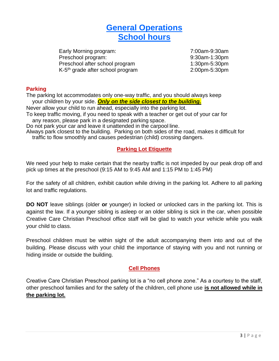# **General Operations School hours**

Early Morning program: 7:00am-9:30am Preschool program: 9:30am-1:30pm Preschool after school program 1:30pm-5:30pm K-5<sup>th</sup> grade after school program and the state 2:00pm-5:30pm

# **Parking**

The parking lot accommodates only one‐way traffic, and you should always keep your children by your side. *Only on the side closest to the building.*

Never allow your child to run ahead, especially into the parking lot.

To keep traffic moving, if you need to speak with a teacher or get out of your car for any reason, please park in a designated parking space.

Do not park your car and leave it unattended in the carpool line.

Always park closest to the building. Parking on both sides of the road, makes it difficult for traffic to flow smoothly and causes pedestrian (child) crossing dangers.

# **Parking Lot Etiquette**

We need your help to make certain that the nearby traffic is not impeded by our peak drop off and pick up times at the preschool (9:15 AM to 9:45 AM and 1:15 PM to 1:45 PM)

For the safety of all children, exhibit caution while driving in the parking lot. Adhere to all parking lot and traffic regulations.

**DO NOT** leave siblings (older **or** younger) in locked or unlocked cars in the parking lot. This is against the law. If a younger sibling is asleep or an older sibling is sick in the car, when possible Creative Care Christian Preschool office staff will be glad to watch your vehicle while you walk your child to class.

Preschool children must be within sight of the adult accompanying them into and out of the building. Please discuss with your child the importance of staying with you and not running or hiding inside or outside the building.

# **Cell Phones**

Creative Care Christian Preschool parking lot is a "no cell phone zone." As a courtesy to the staff, other preschool families and for the safety of the children, cell phone use **is not allowed while in the parking lot.**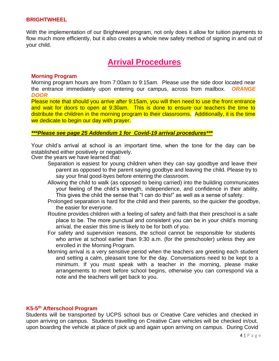### **BRIGHTWHEEL**

With the implementation of our Brightweel program, not only does it allow for tuition payments to flow much more efficiently, but it also creates a whole new safety method of signing in and out of your child.

# **Arrival Procedures**

### **Morning Program**

Morning program hours are from 7:00am to 9:15am. Please use the side door located near the entrance immediately upon entering our campus, across from mailbox. *ORANGE DOOR*

Please note that should you arrive after 9:15am, you will then need to use the front entrance and wait for doors to open at 9:30am. This is done to ensure our teachers the time to distribute the children in the morning program to their classrooms. Additionally, it is the time we dedicate to begin our day with prayer.

### *\*\*\*Please see page 25 Addendum 1 for Covid-19 arrival procedures\*\*\**

Your child's arrival at school is an important time, when the tone for the day can be established either positively or negatively.

Over the years we have learned that:

- Separation is easiest for young children when they can say goodbye and leave their parent as opposed to the parent saying goodbye and leaving the child. Please try to say your final good-byes before entering the classroom.
- Allowing the child to walk (as opposed to being carried) into the building communicates your feeling of the child's strength, independence, and confidence in their ability. This gives the child the sense that "I can do this!" as well as a sense of safety.
- Prolonged separation is hard for the child and their parents, so the quicker the goodbye, the easier for everyone.
- Routine provides children with a feeling of safety and faith that their preschool is a safe place to be. The more punctual and consistent you can be in your child's morning arrival, the easier this time is likely to be for both of you.
- For safety and supervision reasons, the school cannot be responsible for students who arrive at school earlier than 9:30 a.m. (for the preschooler) unless they are enrolled in the Morning Program.
- Morning arrival is a very sensitive period when the teachers are greeting each student and setting a calm, pleasant tone for the day. Conversations need to be kept to a minimum. If you must speak with a teacher in the morning, please make arrangements to meet before school begins, otherwise you can correspond via a note and the teachers will get back to you.

### **K5-5 th Afterschool Program**

Students will be transported by UCPS school bus or Creative Care vehicles and checked in upon arriving on campus. Students travelling on Creative Care vehicles will be checked in/out, upon boarding the vehicle at place of pick up and again upon arriving on campus. During Covid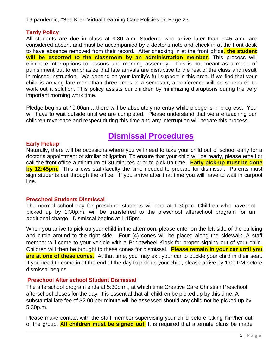19 pandemic, \*See K-5<sup>th</sup> Virtual Learning Care Policies on Page 23.

# **Tardy Policy**

All students are due in class at 9:30 a.m. Students who arrive later than 9:45 a.m. are considered absent and must be accompanied by a doctor's note and check in at the front desk to have absence removed from their record. After checking in at the front office, **the student will be escorted to the classroom by an administration member**. This process will eliminate interruptions to lessons and morning assembly. This is not meant as a mode of punishment but to emphasize that late arrivals are disruptive to the rest of the class and result in missed instruction. We depend on your family's full support in this area. If we find that your child is arriving late more than three times in a semester, a conference will be scheduled to work out a solution. This policy assists our children by minimizing disruptions during the very important morning work time.

Pledge begins at 10:00am…there will be absolutely no entry while pledge is in progress. You will have to wait outside until we are completed. Please understand that we are teaching our children reverence and respect during this time and any interruption will negate this process.

# **Dismissal Procedures**

# **Early Pickup**

Naturally, there will be occasions where you will need to take your child out of school early for a doctor's appointment or similar obligation. To ensure that your child will be ready, please email or call the front office a minimum of 30 minutes prior to pick-up time. **Early pick-up must be done by 12:45pm.** This allows staff/faculty the time needed to prepare for dismissal. Parents must sign students out through the office. If you arrive after that time you will have to wait in carpool line.

# **Preschool Students Dismissal**

The normal school day for preschool students will end at 1:30p.m. Children who have not picked up by 1:30p.m. will be transferred to the preschool afterschool program for an additional charge. Dismissal begins at 1:15pm.

When you arrive to pick up your child in the afternoon, please enter on the left side of the building and circle around to the right side. Four (4) cones will be placed along the sidewalk. A staff member will come to your vehicle with a Brightwheel Kiosk for proper signing out of your child. Children will then be brought to these cones for dismissal. **Please remain in your car until you are at one of these cones.** At that time, you may exit your car to buckle your child in their seat. If you need to come in at the end of the day to pick up your child, please arrive by 1:00 PM before dismissal begins

# **Preschool After school Student Dismissal**

The afterschool program ends at 5:30p.m., at which time Creative Care Christian Preschool afterschool closes for the day. It is essential that all children be picked up by this time. A substantial late fee of \$2.00 per minute will be assessed should any child not be picked up by 5:30p.m.

Please make contact with the staff member supervising your child before taking him/her out of the group. **All children must be signed out**. It is required that alternate plans be made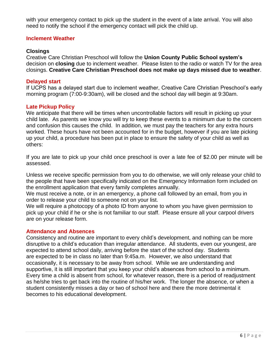with your emergency contact to pick up the student in the event of a late arrival. You will also need to notify the school if the emergency contact will pick the child up.

# **Inclement Weather**

# **Closings**

Creative Care Christian Preschool will follow the **Union County Public School system's**  decision on **closing** due to inclement weather. Please listen to the radio or watch TV for the area closings. **Creative Care Christian Preschool does not make up days missed due to weather**.

# **Delayed start**

If UCPS has a delayed start due to inclement weather, Creative Care Christian Preschool's early morning program (7:00-9:30am), will be closed and the school day will begin at 9:30am.

# **Late Pickup Policy**

We anticipate that there will be times when uncontrollable factors will result in picking up your child late. As parents we know you will try to keep these events to a minimum due to the concern and confusion this causes the child. In addition, we must pay the teachers for any extra hours worked. These hours have not been accounted for in the budget, however if you are late picking up your child, a procedure has been put in place to ensure the safety of your child as well as others:

If you are late to pick up your child once preschool is over a late fee of \$2.00 per minute will be assessed.

Unless we receive specific permission from you to do otherwise, we will only release your child to the people that have been specifically indicated on the Emergency Information form included on the enrollment application that every family completes annually.

We must receive a note, or in an emergency, a phone call followed by an email, from you in order to release your child to someone not on your list.

We will require a photocopy of a photo ID from anyone to whom you have given permission to pick up your child if he or she is not familiar to our staff. Please ensure all your carpool drivers are on your release form.

# **Attendance and Absences**

Consistency and routine are important to every child's development, and nothing can be more disruptive to a child's education than irregular attendance. All students, even our youngest, are expected to attend school daily, arriving before the start of the school day. Students are expected to be in class no later than 9:45a.m. However, we also understand that occasionally, it is necessary to be away from school. While we are understanding and supportive, it is still important that you keep your child's absences from school to a minimum. Every time a child is absent from school, for whatever reason, there is a period of readjustment as he/she tries to get back into the routine of his/her work. The longer the absence, or when a student consistently misses a day or two of school here and there the more detrimental it becomes to his educational development.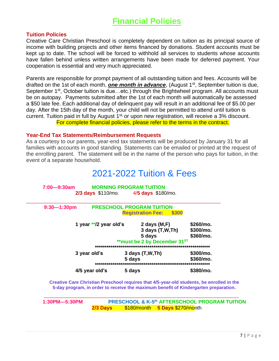# **Financial Policies**

### **Tuition Policies**

Creative Care Christian Preschool is completely dependent on tuition as its principal source of income with building projects and other items financed by donations. Student accounts must be kept up to date. The school will be forced to withhold all services to students whose accounts have fallen behind unless written arrangements have been made for deferred payment. Your cooperation is essential and very much appreciated.

Parents are responsible for prompt payment of all outstanding tuition and fees. Accounts will be drafted on the 1st of each month, **one month in advance**, (August 1<sup>st</sup>, September tuition is due, September 1<sup>st</sup>, October tuition is due...etc.) through the Brightwheel program. All accounts must be on autopay. Payments submitted after the 1st of each month will automatically be assessed a \$50 late fee. Each additional day of delinquent pay will result in an additional fee of \$5.00 per day. After the 15th day of the month, your child will not be permitted to attend until tuition is current. Tuition paid in full by August 1<sup>st,</sup> or upon new registration, will receive a 3% discount. For complete financial policies, please refer to the terms in the contract.

### **Year-End Tax Statements/Reimbursement Requests**

As a courtesy to our parents, year-end tax statements will be produced by January 31 for all families with accounts in good standing. Statements can be emailed or printed at the request of the enrolling parent. The statement will be in the name of the person who pays for tuition, in the event of a separate household.

# 2021-2022 Tuition & Fees

| $9:30 - 1:30$ pm |                        | <b>PRESCHOOL PROGRAM TUITION</b><br>\$300<br><b>Registration Fee:</b>                   |                                     |
|------------------|------------------------|-----------------------------------------------------------------------------------------|-------------------------------------|
|                  | 1 year **/2 year old's | 2 days $(M,F)$<br>3 days (T,W,Th)<br>5 days<br>**must be 2 by December 31 <sup>ST</sup> | \$260/mo.<br>\$300/mo.<br>\$360/mo. |
|                  | 3 year old's           | $3$ days $(T,W,Th)$<br>5 days                                                           | \$300/mo.<br>\$360/mo.              |
|                  | 4/5 year old's         | 5 days                                                                                  | \$380/mo.                           |

**\_\_\_\_\_\_\_\_\_\_\_\_\_\_\_\_\_\_\_\_\_\_\_\_\_\_\_\_\_\_\_\_\_\_\_\_\_\_\_\_\_\_\_\_\_\_\_\_ 1:30PM—5:30PM PRESCHOOL & K-5 th AFTERSCHOOL PROGRAM TUITION**

**5-day program, in order to receive the maximum benefit of Kindergarten preparation.**

**2/3 Days** \$180/month **5 Days** \$270/month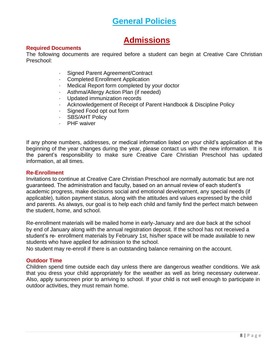# **General Policies**

# **Admissions**

# **Required Documents**

The following documents are required before a student can begin at Creative Care Christian Preschool:

- Signed Parent Agreement/Contract
- · Completed Enrollment Application
- Medical Report form completed by your doctor
- Asthma/Allergy Action Plan (if needed)
- Updated immunization records
- Acknowledgement of Receipt of Parent Handbook & Discipline Policy
- Signed Food opt out form
- SBS/AHT Policy
- · PHF waiver

If any phone numbers, addresses, or medical information listed on your child's application at the beginning of the year changes during the year, please contact us with the new information. It is the parent's responsibility to make sure Creative Care Christian Preschool has updated information, at all times.

# **Re-Enrollment**

Invitations to continue at Creative Care Christian Preschool are normally automatic but are not guaranteed. The administration and faculty, based on an annual review of each student's academic progress, make decisions social and emotional development, any special needs (if applicable), tuition payment status, along with the attitudes and values expressed by the child and parents. As always, our goal is to help each child and family find the perfect match between the student, home, and school.

Re‐enrollment materials will be mailed home in early‐January and are due back at the school by end of January along with the annual registration deposit. If the school has not received a student's re- enrollment materials by February 1st, his/her space will be made available to new students who have applied for admission to the school.

No student may re‐enroll if there is an outstanding balance remaining on the account.

# **Outdoor Time**

Children spend time outside each day unless there are dangerous weather conditions. We ask that you dress your child appropriately for the weather as well as bring necessary outerwear. Also, apply sunscreen prior to arriving to school. If your child is not well enough to participate in outdoor activities, they must remain home.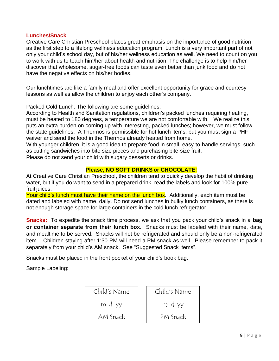# **Lunches/Snack**

Creative Care Christian Preschool places great emphasis on the importance of good nutrition as the first step to a lifelong wellness education program. Lunch is a very important part of not only your child's school day, but of his/her wellness education as well. We need to count on you to work with us to teach him/her about health and nutrition. The challenge is to help him/her discover that wholesome, sugar‐free foods can taste even better than junk food and do not have the negative effects on his/her bodies.

Our lunchtimes are like a family meal and offer excellent opportunity for grace and courtesy lessons as well as allow the children to enjoy each other's company.

Packed Cold Lunch: The following are some guidelines:

According to Health and Sanitation regulations, children's packed lunches requiring heating, must be heated to 180 degrees, a temperature we are not comfortable with. We realize this puts an extra burden on coming up with interesting, packed lunches; however, we must follow the state guidelines. A Thermos is permissible for hot lunch items, but you must sign a PHF waiver and send the food in the Thermos already heated from home.

With younger children, it is a good idea to prepare food in small, easy-to-handle servings, such as cutting sandwiches into bite size pieces and purchasing bite‐size fruit.

Please do not send your child with sugary desserts or drinks.

# **Please, NO SOFT DRINKS or CHOCOLATE**!

At Creative Care Christian Preschool, the children tend to quickly develop the habit of drinking water, but if you do want to send in a prepared drink, read the labels and look for 100% pure fruit juices.

Your child's lunch must have their name on the lunch box. Additionally, each item must be dated and labeled with name, daily. Do not send lunches in bulky lunch containers, as there is not enough storage space for large containers in the cold lunch refrigerator.

**Snacks:** To expedite the snack time process, we ask that you pack your child's snack in a **bag or container separate from their lunch box.** Snacks must be labeled with their name, date, and mealtime to be served. Snacks will not be refrigerated and should only be a non-refrigerated item. Children staying after 1:30 PM will need a PM snack as well. Please remember to pack it separately from your child's AM snack. See "Suggested Snack items".

Snacks must be placed in the front pocket of your child's book bag.

Sample Labeling:

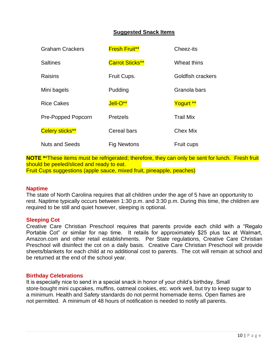# **Suggested Snack Items**

| <b>Graham Crackers</b> | <b>Fresh Fruit**</b>   | Cheez-its         |
|------------------------|------------------------|-------------------|
| <b>Saltines</b>        | <b>Carrot Sticks**</b> | Wheat thins       |
| Raisins                | Fruit Cups.            | Goldfish crackers |
| Mini bagels            | Pudding                | Granola bars      |
| <b>Rice Cakes</b>      | Jell-O**               | Yogurt **         |
| Pre-Popped Popcorn     | <b>Pretzels</b>        | <b>Trail Mix</b>  |
| Celery sticks**        | Cereal bars            | <b>Chex Mix</b>   |
| <b>Nuts and Seeds</b>  | <b>Fig Newtons</b>     | Fruit cups        |

**NOTE \***\*These items must be refrigerated; therefore, they can only be sent for lunch. Fresh fruit should be peeled/sliced and ready to eat. Fruit Cups suggestions (apple sauce, mixed fruit, pineapple, peaches)

### **Naptime**

The state of North Carolina requires that all children under the age of 5 have an opportunity to rest. Naptime typically occurs between 1:30 p.m. and 3:30 p.m. During this time, the children are required to be still and quiet however, sleeping is optional.

### **Sleeping Cot**

Creative Care Christian Preschool requires that parents provide each child with a "Regalo Portable Cot" or similar for nap time. It retails for approximately \$25 plus tax at Walmart, Amazon.com and other retail establishments. Per State regulations, Creative Care Christian Preschool will disinfect the cot on a daily basis. Creative Care Christian Preschool will provide sheets/blankets for each child at no additional cost to parents. The cot will remain at school and be returned at the end of the school year.

### **Birthday Celebrations**

It is especially nice to send in a special snack in honor of your child's birthday. Small store‐bought mini cupcakes, muffins, oatmeal cookies, etc. work well, but try to keep sugar to a minimum. Health and Safety standards do not permit homemade items. Open flames are not permitted. A minimum of 48 hours of notification is needed to notify all parents.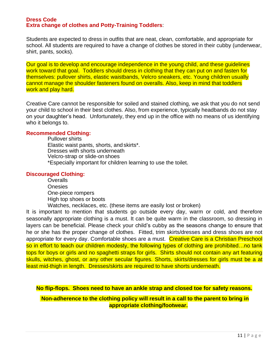### **Dress Code Extra change of clothes and Potty-Training Toddlers**:

Students are expected to dress in outfits that are neat, clean, comfortable, and appropriate for school. All students are required to have a change of clothes be stored in their cubby (underwear, shirt, pants, socks).

Our goal is to develop and encourage independence in the young child, and these guidelines work toward that goal. Toddlers should dress in clothing that they can put on and fasten for themselves: pullover shirts, elastic waistbands, Velcro sneakers, etc. Young children usually cannot manage the shoulder fasteners found on overalls. Also, keep in mind that toddlers work and play hard.

Creative Care cannot be responsible for soiled and stained clothing, we ask that you do not send your child to school in their best clothes. Also, from experience, typically headbands do not stay on your daughter's head. Unfortunately, they end up in the office with no means of us identifying who it belongs to.

# **Recommended Clothing:**

Pullover shirts Elastic waist pants, shorts, and skirts\*. Dresses with shorts underneath Velcro‐strap or slide‐on shoes \*Especially important for children learning to use the toilet.

# **Discouraged Clothing:**

**Overalls** Onesies One-piece rompers High top shoes or boots

Watches, necklaces, etc. (these items are easily lost or broken)

It is important to mention that students go outside every day, warm or cold, and therefore seasonally appropriate clothing is a must. It can be quite warm in the classroom, so dressing in layers can be beneficial. Please check your child's cubby as the seasons change to ensure that he or she has the proper change of clothes. Fitted, trim skirts/dresses and dress shoes are not appropriate for every day. Comfortable shoes are a must. Creative Care is a Christian Preschool so in effort to teach our children modesty, the following types of clothing are prohibited…no tank tops for boys or girls and no spaghetti straps for girls. Shirts should not contain any art featuring skulls, witches, ghost, or any other secular figures. Shorts, skirts/dresses for girls must be a at least mid-thigh in length. Dresses/skirts are required to have shorts underneath.

**No flip-flops. Shoes need to have an ankle strap and closed toe for safety reasons.**

**Non-adherence to the clothing policy will result in a call to the parent to bring in appropriate clothing/footwear.**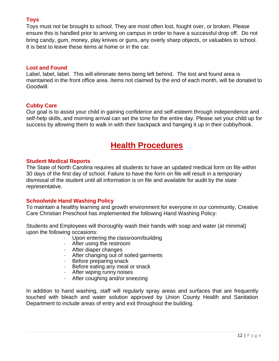# **Toys**

Toys must not be brought to school. They are most often lost, fought over, or broken. Please ensure this is handled prior to arriving on campus in order to have a successful drop off. Do not bring candy, gum, money, play knives or guns, any overly sharp objects, or valuables to school. It is best to leave these items at home or in the car.

# **Lost and Found**

Label, label, label. This will eliminate items being left behind. The lost and found area is maintained in the front office area. Items not claimed by the end of each month, will be donated to Goodwill.

# **Cubby Care**

Our goal is to assist your child in gaining confidence and self‐esteem through independence and self-help skills, and morning arrival can set the tone for the entire day. Please set your child up for success by allowing them to walk in with their backpack and hanging it up in their cubby/hook.

# **Health Procedures**

# **Student Medical Reports**

The State of North Carolina requires all students to have an updated medical form on file within 30 days of the first day of school. Failure to have the form on file will result in a temporary dismissal of the student until all information is on file and available for audit by the state representative.

# **Schoolwide Hand Washing Policy**

To maintain a healthy learning and growth environment for everyone in our community, Creative Care Christian Preschool has implemented the following Hand Washing Policy:

Students and Employees will thoroughly wash their hands with soap and water (at minimal) upon the following occasions:

- Upon entering the classroom/building
- · After using the restroom
- · After diaper changes
- · After changing out of soiled garments
- · Before preparing snack<br>· Before eating any meal
- Before eating any meal or snack
- · After wiping runny noises
- After coughing and/or sneezing

In addition to hand washing, staff will regularly spray areas and surfaces that are frequently touched with bleach and water solution approved by Union County Health and Sanitation Department to include areas of entry and exit throughout the building.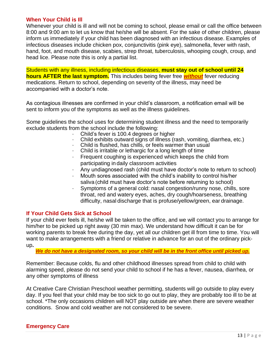### **When Your Child is Ill**

Whenever your child is ill and will not be coming to school, please email or call the office between 8:00 and 9:00 am to let us know that he/she will be absent. For the sake of other children, please inform us immediately if your child has been diagnosed with an infectious disease. Examples of infectious diseases include chicken pox, conjunctivitis (pink eye), salmonella, fever with rash, hand, foot, and mouth disease, scabies, strep throat, tuberculosis, whooping cough, croup, and head lice. Please note this is only a partial list.

Students with any illness, including infectious diseases, **must stay out of school until 24 hours AFTER the last symptom.** This includes being fever free *without* fever reducing medications. Return to school, depending on severity of the illness, may need be accompanied with a doctor's note.

As contagious illnesses are confirmed in your child's classroom, a notification email will be sent to inform you of the symptoms as well as the illness guidelines.

Some guidelines the school uses for determining student illness and the need to temporarily exclude students from the school include the following:

- Child's fever is 100.4 degrees or higher
- · Child exhibits outward signs of illness (rash, vomiting, diarrhea, etc.)
- · Child is flushed, has chills, or feels warmer than usual
- · Child is irritable or lethargic for a long length of time
- · Frequent coughing is experienced which keeps the child from participating in daily classroom activities
- · Any undiagnosed rash (child must have doctor's note to return to school)
- · Mouth sores associated with the child's inability to control his/her saliva (child must have doctor's note before returning to school)
- · Symptoms of a general cold: nasal congestion/runny nose, chills, sore throat, red and watery eyes, aches, dry cough/hoarseness, breathing difficulty, nasal discharge that is profuse/yellow/green, ear drainage.

# **If Your Child Gets Sick at School**

If your child ever feels ill, he/she will be taken to the office, and we will contact you to arrange for him/her to be picked up right away (30 min max). We understand how difficult it can be for working parents to break free during the day, yet all our children get ill from time to time. You will want to make arrangements with a friend or relative in advance for an out of the ordinary pick‐ up**.** 

*We do not have a designated room, so your child will be in the front office until picked up.*

Remember: Because colds, flu and other childhood illnesses spread from child to child with alarming speed, please do not send your child to school if he has a fever, nausea, diarrhea, or any other symptoms of illness

At Creative Care Christian Preschool weather permitting, students will go outside to play every day. If you feel that your child may be too sick to go out to play, they are probably too ill to be at school. \*The only occasions children will NOT play outside are when there are severe weather conditions. Snow and cold weather are not considered to be severe.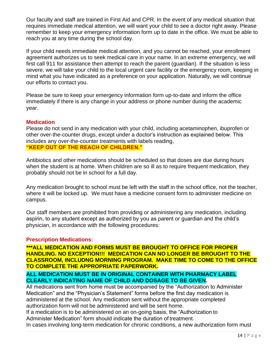Our faculty and staff are trained in First Aid and CPR. In the event of any medical situation that requires immediate medical attention, we will want your child to see a doctor right away. Please remember to keep your emergency information form up to date in the office. We must be able to reach you at any time during the school day.

If your child needs immediate medical attention, and you cannot be reached, your enrollment agreement authorizes us to seek medical care in your name. In an extreme emergency, we will first call 911 for assistance then attempt to reach the parent (guardian). If the situation is less severe, we will take your child to the local urgent care facility or the emergency room, keeping in mind what you have indicated as a preference on your application. Naturally, we will continue our efforts to contact you.

Please be sure to keep your emergency information form up‐to‐date and inform the office immediately if there is any change in your address or phone number during the academic year.

# **Medication**

Please do not send in any medication with your child, including acetaminophen, ibuprofen or other over‐the‐counter drugs, except under a doctor's instruction as explained below. This includes any over‐the‐counter treatments with labels reading, **"KEEP OUT OF THE REACH OF CHILDREN."**

Antibiotics and other medications should be scheduled so that doses are due during hours when the student is at home. When children are so ill as to require frequent medication, they probably should not be in school for a full day.

Any medication brought to school must be left with the staff in the school office, not the teacher, where it will be locked up. We must have a medicine consent form to administer medicine on campus.

Our staff members are prohibited from providing or administering any medication, including aspirin, to any student except as authorized by you as parent or guardian and the child's physician, in accordance with the following procedures:

# **Prescription Medications:**

**\*\*\*ALL MEDICATION AND FORMS MUST BE BROUGHT TO OFFICE FOR PROPER HANDLING. NO EXCEPTION!!! MEDICATION CAN NO LONGER BE BROUGHT TO THE CLASSROOM, INCLUDNG MORNING PROGRAM. MAKE TIME TO COME TO THE OFFICE TO COMPLETE THE APPROPRIATE PAPERWORK.**

# **ALL MEDICATION MUST BE IN ORIGINAL CONTAINER WITH PHARMACY LABEL CLEARLY INDICATING NAME OF CHILD AND DOSAGE TO BE GIVEN.**

All medications sent from home must be accompanied by the "Authorization to Administer Medication" and the "Physician's Statement" forms before the first day medication is administered at the school. Any medication sent without the appropriate completed authorization form will not be administered and will be sent home.

If a medication is to be administered on an on‐going basis, the "Authorization to Administer Medication" form should indicate the duration of treatment.

In cases involving long-term medication for chronic conditions, a new authorization form must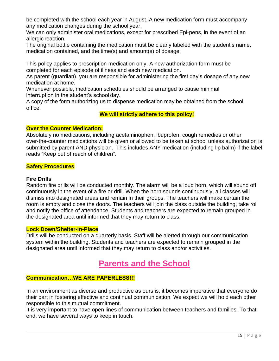be completed with the school each year in August. A new medication form must accompany any medication changes during the school year.

We can only administer oral medications, except for prescribed Epi-pens, in the event of an allergic reaction.

The original bottle containing the medication must be clearly labeled with the student's name, medication contained, and the time(s) and amount(s) of dosage.

This policy applies to prescription medication only. A new authorization form must be completed for each episode of illness and each new medication.

As parent (guardian), you are responsible for administering the first day's dosage of any new medication at home.

Whenever possible, medication schedules should be arranged to cause minimal interruption in the student's school day.

A copy of the form authorizing us to dispense medication may be obtained from the school office.

# **We will strictly adhere to this policy!**

# **Over the Counter Medication:**

Absolutely no medications, including acetaminophen, ibuprofen, cough remedies or other over‐the‐counter medications will be given or allowed to be taken at school unless authorization is submitted by parent AND physician. This includes ANY medication (including lip balm) if the label reads "Keep out of reach of children".

# **Safety Procedures**

# **Fire Drills**

Random fire drills will be conducted monthly. The alarm will be a loud horn, which will sound off continuously in the event of a fire or drill. When the horn sounds continuously, all classes will dismiss into designated areas and remain in their groups. The teachers will make certain the room is empty and close the doors. The teachers will join the class outside the building, take roll and notify the office of attendance. Students and teachers are expected to remain grouped in the designated area until informed that they may return to class.

### **Lock Down/Shelter-In-Place**

Drills will be conducted on a quarterly basis. Staff will be alerted through our communication system within the building. Students and teachers are expected to remain grouped in the designated area until informed that they may return to class and/or activities.

# **Parents and the School**

# **Communication…WE ARE PAPERLESS!!!**

In an environment as diverse and productive as ours is, it becomes imperative that everyone do their part in fostering effective and continual communication. We expect we will hold each other responsible to this mutual commitment.

It is very important to have open lines of communication between teachers and families. To that end, we have several ways to keep in touch.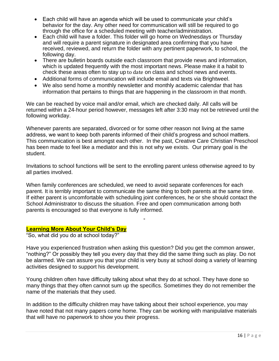- Each child will have an agenda which will be used to communicate your child's behavior for the day. Any other need for communication will still be required to go through the office for a scheduled meeting with teacher/administration.
- Each child will have a folder. This folder will go home on Wednesdays or Thursday and will require a parent signature in designated area confirming that you have received, reviewed, and return the folder with any pertinent paperwork, to school, the following day.
- There are bulletin boards outside each classroom that provide news and information, which is updated frequently with the most important news. Please make it a habit to check these areas often to stay up to date on class and school news and events.
- Additional forms of communication will include email and texts via Brightweel.
- We also send home a monthly newsletter and monthly academic calendar that has information that pertains to things that are happening in the classroom in that month.

We can be reached by voice mail and/or email, which are checked daily. All calls will be returned within a 24‐hour period however, messages left after 3:30 may not be retrieved until the following workday.

Whenever parents are separated, divorced or for some other reason not living at the same address, we want to keep both parents informed of their child's progress and school matters. This communication is best amongst each other. In the past, Creative Care Christian Preschool has been made to feel like a mediator and this is not why we exists. Our primary goal is the student.

Invitations to school functions will be sent to the enrolling parent unless otherwise agreed to by all parties involved.

When family conferences are scheduled, we need to avoid separate conferences for each parent. It is terribly important to communicate the same thing to both parents at the same time. If either parent is uncomfortable with scheduling joint conferences, he or she should contact the School Administrator to discuss the situation. Free and open communication among both parents is encouraged so that everyone is fully informed.

# **Learning More About Your Child's Day**

"So, what did you do at school today?"

Have you experienced frustration when asking this question? Did you get the common answer, "nothing?" Or possibly they tell you every day that they did the same thing such as play. Do not be alarmed. We can assure you that your child is very busy at school doing a variety of learning activities designed to support his development.

Young children often have difficulty talking about what they do at school. They have done so many things that they often cannot sum up the specifics. Sometimes they do not remember the name of the materials that they used.

In addition to the difficulty children may have talking about their school experience, you may have noted that not many papers come home. They can be working with manipulative materials that will have no paperwork to show you their progress.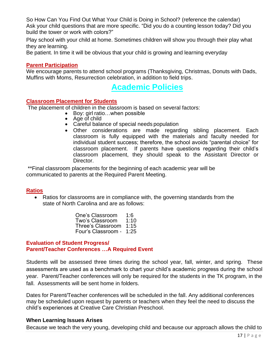So How Can You Find Out What Your Child is Doing in School? (reference the calendar) Ask your child questions that are more specific. "Did you do a counting lesson today? Did you build the tower or work with colors?"

Play school with your child at home. Sometimes children will show you through their play what they are learning.

Be patient. In time it will be obvious that your child is growing and learning everyday

# **Parent Participation**

We encourage parents to attend school programs (Thanksgiving, Christmas, Donuts with Dads, Muffins with Moms, Resurrection celebration, in addition to field trips.

# **Academic Policies**

# **Classroom Placement for Students**

The placement of children in the classroom is based on several factors:

- Boy: girl ratio…when possible
- Age of child
- Careful balance of special needs population
- Other considerations are made regarding sibling placement. Each classroom is fully equipped with the materials and faculty needed for individual student success; therefore, the school avoids "parental choice" for classroom placement. If parents have questions regarding their child's classroom placement, they should speak to the Assistant Director or Director.

\*\*Final classroom placements for the beginning of each academic year will be communicated to parents at the Required Parent Meeting.

# **Ratios**

• Ratios for classrooms are in compliance with, the governing standards from the state of North Carolina and are as follows:

> One's Classroom 1:6<br>Two's Classroom 1:10 Two's Classroom Three's Classroom 1:15 Four's Classroom ‐ 1:25

# **Evaluation of Student Progress/ Parent/Teacher Conferences …A Required Event**

Students will be assessed three times during the school year, fall, winter, and spring. These assessments are used as a benchmark to chart your child's academic progress during the school year. Parent/Teacher conferences will only be required for the students in the TK program, in the fall. Assessments will be sent home in folders.

Dates for Parent/Teacher conferences will be scheduled in the fall. Any additional conferences may be scheduled upon request by parents or teachers when they feel the need to discuss the child's experiences at Creative Care Christian Preschool.

# **When Learning Issues Arises**

Because we teach the very young, developing child and because our approach allows the child to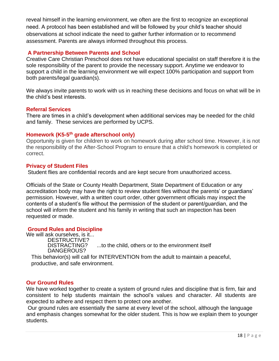reveal himself in the learning environment, we often are the first to recognize an exceptional need. A protocol has been established and will be followed by your child's teacher should observations at school indicate the need to gather further information or to recommend assessment. Parents are always informed throughout this process.

# **A Partnership Between Parents and School**

Creative Care Christian Preschool does not have educational specialist on staff therefore it is the sole responsibility of the parent to provide the necessary support. Anytime we endeavor to support a child in the learning environment we will expect 100% participation and support from both parents/legal guardian(s).

We always invite parents to work with us in reaching these decisions and focus on what will be in the child's best interests.

### **Referral Services**

There are times in a child's development when additional services may be needed for the child and family. These services are performed by UCPS.

# **Homework (K5-5 th grade afterschool only)**

Opportunity is given for children to work on homework during after school time. However, it is not the responsibility of the After-School Program to ensure that a child's homework is completed or correct.

### **Privacy of Student Files**

Student flies are confidential records and are kept secure from unauthorized access.

Officials of the State or County Health Department, State Department of Education or any accreditation body may have the right to review student files without the parents' or guardians' permission. However, with a written court order, other government officials may inspect the contents of a student's file without the permission of the student or parent/guardian, and the school will inform the student and his family in writing that such an inspection has been requested or made.

# **Ground Rules and Discipline**

We will ask ourselves, is it... DESTRUCTIVE?<br>DISTRACTING? ...to the child, others or to the environment itself DANGEROUS?

This behavior(s) will call for INTERVENTION from the adult to maintain a peaceful, productive, and safe environment.

# **Our Ground Rules**

We have worked together to create a system of ground rules and discipline that is firm, fair and consistent to help students maintain the school's values and character. All students are expected to adhere and respect them to protect one another.

Our ground rules are essentially the same at every level of the school, although the language and emphasis changes somewhat for the older student. This is how we explain them to younger students.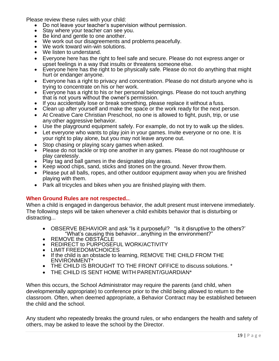Please review these rules with your child:

- Do not leave your teacher's supervision without permission.
- Stay where your teacher can see you.
- Be kind and gentle to one another.
- Be kind and gones to site answering
- We work toward win-win solutions.
- We listen to understand.
- Everyone here has the right to feel safe and secure. Please do not express anger or upset feelings in a way that insults or threatens someone else.
- Everyone here has the right to be physically safe. Please do not do anything that might hurt or endanger anyone.
- Everyone has a right to privacy and concentration. Please do not disturb anyone who is trying to concentrate on his or her work.
- Everyone has a right to his or her personal belongings. Please do not touch anything that is not yours without the owner's permission.
- If you accidentally lose or break something, please replace it without a fuss.
- Clean up after yourself and make the space or the work ready for the next person.
- At Creative Care Christian Preschool, no one is allowed to fight, push, trip, or use any other aggressive behavior.
- Use the playground equipment safely. For example, do not try to walk up the slides.
- Let everyone who wants to play join in your games. Invite everyone or no one. It is your right to play alone, but you may not leave anyone out.
- Stop chasing or playing scary games when asked.
- Please do not tackle or trip one another in any games. Please do not roughhouse or play carelessly.
- Play tag and ball games in the designated play areas.
- Keep wood chips, sand, sticks and stones on the ground. Never throw them.
- Please put all balls, ropes, and other outdoor equipment away when you are finished playing with them.
- Park all tricycles and bikes when you are finished playing with them.

# **When Ground Rules are not respected..**.

When a child is engaged in dangerous behavior, the adult present must intervene immediately. The following steps will be taken whenever a child exhibits behavior that is disturbing or distracting...

- OBSERVE BEHAVIOR and ask "Is it purposeful? "Is it disruptive to the others?' "What's causing this behavior...anything in the environment?"
- REMOVE the OBSTACLE
- REDIRECT to PURPOSEFUL WORK/ACTIVITY
- LIMIT FREEDOM/CHOICES<br>• If the child is an obstacle to le
- If the child is an obstacle to learning, REMOVE THE CHILD FROM THE ENVIRONMENT\*
- THE CHILD IS BROUGHT TO THE FRONT OFFICE to discuss solutions. \*
- THE CHILD IS SENT HOME WITH PARENT/GUARDIAN\*

When this occurs, the School Administrator may require the parents (and child, when developmentally appropriate) to conference prior to the child being allowed to return to the classroom. Often, when deemed appropriate, a Behavior Contract may be established between the child and the school.

Any student who repeatedly breaks the ground rules, or who endangers the health and safety of others, may be asked to leave the school by the Director.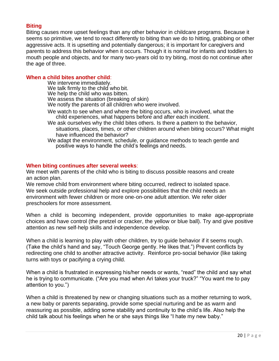# **Biting**

Biting causes more upset feelings than any other behavior in childcare programs. Because it seems so primitive, we tend to react differently to biting than we do to hitting, grabbing or other aggressive acts. It is upsetting and potentially dangerous; it is important for caregivers and parents to address this behavior when it occurs. Though it is normal for infants and toddlers to mouth people and objects, and for many two‐years old to try biting, most do not continue after the age of three.

# **When a child bites another child**:

We intervene immediately. We talk firmly to the child who bit. We help the child who was bitten. We assess the situation (breaking of skin) We notify the parents of all children who were involved.

- We watch to see when and where the biting occurs, who is involved, what the child experiences, what happens before and after each incident.
- We ask ourselves why the child bites others. Is there a pattern to the behavior, situations, places, times, or other children around when biting occurs? What might have influenced the behavior?

We adapt the environment, schedule, or guidance methods to teach gentle and positive ways to handle the child's feelings and needs.

# **When biting continues after several weeks**:

We meet with parents of the child who is biting to discuss possible reasons and create an action plan.

We remove child from environment where biting occurred, redirect to isolated space. We seek outside professional help and explore possibilities that the child needs an environment with fewer children or more one‐on‐one adult attention. We refer older preschoolers for more assessment.

When a child is becoming independent, provide opportunities to make age-appropriate choices and have control (the pretzel or cracker, the yellow or blue ball). Try and give positive attention as new self‐help skills and independence develop.

When a child is learning to play with other children, try to guide behavior if it seems rough. (Take the child's hand and say, "Touch George gently. He likes that.") Prevent conflicts by redirecting one child to another attractive activity. Reinforce pro‐social behavior (like taking turns with toys or pacifying a crying child.

When a child is frustrated in expressing his/her needs or wants, "read" the child and say what he is trying to communicate. ("Are you mad when Ari takes your truck?" "You want me to pay attention to you.")

When a child is threatened by new or changing situations such as a mother returning to work, a new baby or parents separating, provide some special nurturing and be as warm and reassuring as possible, adding some stability and continuity to the child's life. Also help the child talk about his feelings when he or she says things like "I hate my new baby."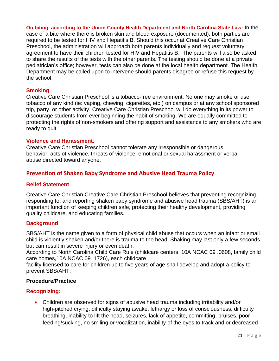**On biting, according to the Union County Health Department and North Carolina State Law:** In the case of a bite where there is broken skin and blood exposure (documented), both parties are required to be tested for HIV and Hepatitis B. Should this occur at Creative Care Christian Preschool, the administration will approach both parents individually and request voluntary agreement to have their children tested for HIV and Hepatitis B. The parents will also be asked to share the results of the tests with the other parents. The testing should be done at a private pediatrician's office; however, tests can also be done at the local health department. The Health Department may be called upon to intervene should parents disagree or refuse this request by the school.

# **Smoking**

Creative Care Christian Preschool is a tobacco‐free environment. No one may smoke or use tobacco of any kind (ie: vaping, chewing, cigarettes, etc.) on campus or at any school sponsored trip, party, or other activity. Creative Care Christian Preschool will do everything in its power to discourage students from ever beginning the habit of smoking. We are equally committed to protecting the rights of non‐smokers and offering support and assistance to any smokers who are ready to quit.

# **Violence and Harassment**:

Creative Care Christian Preschool cannot tolerate any irresponsible or dangerous behavior, acts of violence, threats of violence, emotional or sexual harassment or verbal abuse directed toward anyone.

# **Prevention of Shaken Baby Syndrome and Abusive Head Trauma Policy**

# **Belief Statement**

Creative Care Christian Creative Care Christian Preschool believes that preventing recognizing, responding to, and reporting shaken baby syndrome and abusive head trauma (SBS/AHT) is an important function of keeping children safe, protecting their healthy development, providing quality childcare, and educating families.

# **Background**

SBS/AHT is the name given to a form of physical child abuse that occurs when an infant or small child is violently shaken and/or there is trauma to the head. Shaking may last only a few seconds but can result in severe injury or even death.

According to North Carolina Child Care Rule (childcare centers, 10A NCAC 09 .0608, family child care homes,10A NCAC 09 .1726), each childcare

facility licensed to care for children up to five years of age shall develop and adopt a policy to prevent SBS/AHT.

# **Procedure/Practice**

# **Recognizing:**

• Children are observed for signs of abusive head trauma including irritability and/or high-pitched crying, difficulty staying awake, lethargy or loss of consciousness, difficulty breathing, inability to lift the head, seizures, lack of appetite, committing, bruises, poor feeding/sucking, no smiling or vocalization, inability of the eyes to track and or decreased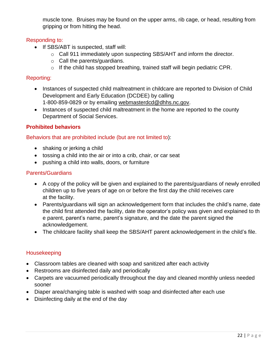muscle tone. Bruises may be found on the upper arms, rib cage, or head, resulting from gripping or from hitting the head.

# Responding to:

- If SBS/ABT is suspected, staff will:
	- o Call 911 immediately upon suspecting SBS/AHT and inform the director.
	- o Call the parents/guardians.
	- o If the child has stopped breathing, trained staff will begin pediatric CPR.

# Reporting:

- Instances of suspected child maltreatment in childcare are reported to Division of Child Development and Early Education (DCDEE) by calling 1‐800‐859-0829 or by emailing [webmasterdcd@dhhs.nc.gov.](mailto:webmasterdcd@dhhs.nc.gov)
- Instances of suspected child maltreatment in the home are reported to the county Department of Social Services.

# **Prohibited behaviors**

# Behaviors that are prohibited include (but are not limited to):

- shaking or jerking a child
- tossing a child into the air or into a crib, chair, or car seat
- pushing a child into walls, doors, or furniture

# Parents/Guardians

- A copy of the policy will be given and explained to the parents/guardians of newly enrolled children up to five years of age on or before the first day the child receives care at the facility.
- Parents/guardians will sign an acknowledgement form that includes the child's name, date the child first attended the facility, date the operator's policy was given and explained to th e parent, parent's name, parent's signature, and the date the parent signed the acknowledgement.
- The childcare facility shall keep the SBS/AHT parent acknowledgement in the child's file.

# Housekeeping

- Classroom tables are cleaned with soap and sanitized after each activity
- Restrooms are disinfected daily and periodically
- Carpets are vacuumed periodically throughout the day and cleaned monthly unless needed sooner
- Diaper area/changing table is washed with soap and disinfected after each use
- Disinfecting daily at the end of the day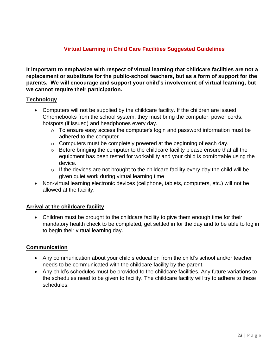# **Virtual Learning in Child Care Facilities Suggested Guidelines**

**It important to emphasize with respect of virtual learning that childcare facilities are not a replacement or substitute for the public-school teachers, but as a form of support for the parents. We will encourage and support your child's involvement of virtual learning, but we cannot require their participation.**

# **Technology**

- Computers will not be supplied by the childcare facility. If the children are issued Chromebooks from the school system, they must bring the computer, power cords, hotspots (if issued) and headphones every day.
	- $\circ$  To ensure easy access the computer's login and password information must be adhered to the computer.
	- o Computers must be completely powered at the beginning of each day.
	- $\circ$  Before bringing the computer to the childcare facility please ensure that all the equipment has been tested for workability and your child is comfortable using the device.
	- $\circ$  If the devices are not brought to the childcare facility every day the child will be given quiet work during virtual learning time
- Non-virtual learning electronic devices (cellphone, tablets, computers, etc.) will not be allowed at the facility.

# **Arrival at the childcare facility**

• Children must be brought to the childcare facility to give them enough time for their mandatory health check to be completed, get settled in for the day and to be able to log in to begin their virtual learning day.

# **Communication**

- Any communication about your child's education from the child's school and/or teacher needs to be communicated with the childcare facility by the parent.
- Any child's schedules must be provided to the childcare facilities. Any future variations to the schedules need to be given to facility. The childcare facility will try to adhere to these schedules.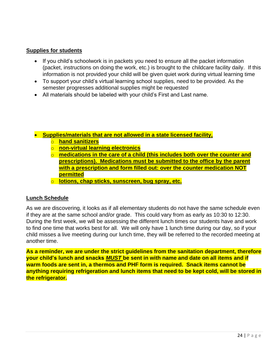# **Supplies for students**

- If you child's schoolwork is in packets you need to ensure all the packet information (packet, instructions on doing the work, etc.) is brought to the childcare facility daily. If this information is not provided your child will be given quiet work during virtual learning time
- To support your child's virtual learning school supplies, need to be provided. As the semester progresses additional supplies might be requested
- All materials should be labeled with your child's First and Last name.
- **Supplies/materials that are not allowed in a state licensed facility,** 
	- o **hand sanitizers**
	- o **non-virtual learning electronics**
	- o **medications in the care of a child (this includes both over the counter and prescriptions). Medications must be submitted to the office by the parent with a prescription and form filled out: over the counter medication NOT permitted**
	- o **lotions, chap sticks, sunscreen, bug spray, etc.**

# **Lunch Schedule**

As we are discovering, it looks as if all elementary students do not have the same schedule even if they are at the same school and/or grade. This could vary from as early as 10:30 to 12:30. During the first week, we will be assessing the different lunch times our students have and work to find one time that works best for all. We will only have 1 lunch time during our day, so if your child misses a live meeting during our lunch time, they will be referred to the recorded meeting at another time.

**As a reminder, we are under the strict guidelines from the sanitation department, therefore your child's lunch and snacks** *MUST* **be sent in with name and date on all items and if warm foods are sent in, a thermos and PHF form is required. Snack items cannot be anything requiring refrigeration and lunch items that need to be kept cold, will be stored in the refrigerator.**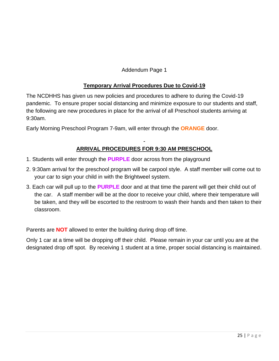Addendum Page 1

# **Temporary Arrival Procedures Due to Covid-19**

The NCDHHS has given us new policies and procedures to adhere to during the Covid-19 pandemic. To ensure proper social distancing and minimize exposure to our students and staff, the following are new procedures in place for the arrival of all Preschool students arriving at 9:30am.

Early Morning Preschool Program 7-9am, will enter through the **ORANGE** door.

# **ARRIVAL PROCEDURES FOR 9:30 AM PRESCHOOL**

- 1. Students will enter through the **PURPLE** door across from the playground
- 2. 9:30am arrival for the preschool program will be carpool style. A staff member will come out to your car to sign your child in with the Brightweel system.
- 3. Each car will pull up to the **PURPLE** door and at that time the parent will get their child out of the car. A staff member will be at the door to receive your child, where their temperature will be taken, and they will be escorted to the restroom to wash their hands and then taken to their classroom.

Parents are **NOT** allowed to enter the building during drop off time.

Only 1 car at a time will be dropping off their child. Please remain in your car until you are at the designated drop off spot. By receiving 1 student at a time, proper social distancing is maintained.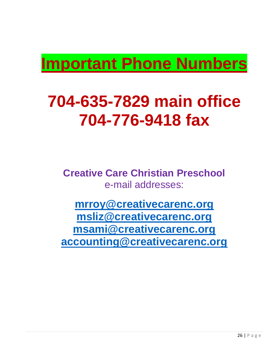# **Important Phone Numbers**

# **704-635-7829 main office 704-776-9418 fax**

**Creative Care Christian Preschool**  e-mail addresses:

**[mrroy@creativecarenc.org](mailto:mrroy@creativecarenc.org) [msliz@creativecarenc.org](mailto:msliz@creativecarenc.org) [msami@creativecarenc.org](mailto:msami@creativecarenc.org) [accounting@creativecarenc.org](mailto:accounting@creativecarenc.org)**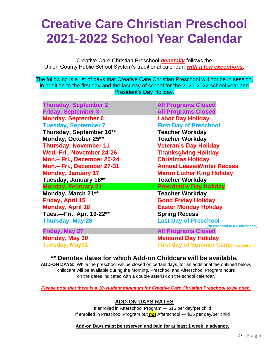# **Creative Care Christian Preschool 2021-2022 School Year Calendar**

Creative Care Christian Preschool *generally* follows the Union County Public School System's traditional calendar, *with a few exceptions*.

The following is a list of days that Creative Care Christian Preschool will not be in session, in addition to the first day and the last day of school for the 2021-2022 school year and President's Day Holiday.

**Thursday, September 2 All Programs Closed Friday, September 3 All Programs Closed Monday, September 6 Labor Day Holiday Tuesday, September 7 First Day of Preschool Thursday, September 16\*\* Teacher Workday Monday, October 25\*\* Teacher Workday Thursday, November 11 Veteran's Day Holiday Wed.-Fri., November 24-26 Thanksgiving Holiday Mon.– Fri., December 20-24 Christmas Holiday Monday, January 17 Martin Luther King Holiday Tuesday, January 18\*\* Teacher Workday Monday, February 21 President's Day Holiday Monday, March 21\*\* Teacher Workday Friday, April 15 Good Friday Holiday Monday, April 18 Easter Monday Holiday**

**Mon.– Fri., December 27-31 Annual Leave/Winter Recess Tues.—Fri., Apr. 19-22\*\* Spring Recess Thursday, May 26 Last Day of Preschool (No preschool or K-5 afterschool) Friday, May 27 All Programs Closed Monday, May 30 Memorial Day Holiday**

**Tuesday, May31 First day of Summer Camp (enrolled only)**

# **\*\* Denotes dates for which Add-on Childcare will be available.**

**ADD-ON DAYS**: While the preschool will be closed on certain days, for an additional fee outlined below, childcare will be available during the Morning, Preschool and Afterschool Program hours on the dates indicated with a double asterisk on the school calendar.

*Please note that there is a 10-student minimum for Creative Care Christian Preschool to be open.*

# **ADD-ON DAYS RATES**

If enrolled in Afterschool Program — \$15 per day/per child If enrolled in Preschool Program but *not* Afterschool — \$25 per day/per child

# **Add-on Days must be reserved and paid for at least 1 week in advance.**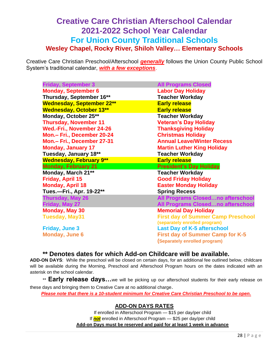# **Creative Care Christian Afterschool Calendar 2021-2022 School Year Calendar For Union County Traditional Schools Wesley Chapel, Rocky River, Shiloh Valley… Elementary Schools**

Creative Care Christian Preschool/Afterschool *generally* follows the Union County Public School System's traditional calendar, *with a few exceptions*.

| <b>Friday, September 3</b>       | <b>All Programs Closed</b>                |  |  |
|----------------------------------|-------------------------------------------|--|--|
| <b>Monday, September 6</b>       | <b>Labor Day Holiday</b>                  |  |  |
| Thursday, September 16**         | <b>Teacher Workday</b>                    |  |  |
| <b>Wednesday, September 22**</b> | <b>Early release</b>                      |  |  |
| <b>Wednesday, October 13**</b>   | <b>Early release</b>                      |  |  |
| Monday, October 25**             | <b>Teacher Workday</b>                    |  |  |
| <b>Thursday, November 11</b>     | <b>Veteran's Day Holiday</b>              |  |  |
| Wed.-Fri., November 24-26        | <b>Thanksgiving Holiday</b>               |  |  |
| Mon.- Fri., December 20-24       | <b>Christmas Holiday</b>                  |  |  |
| Mon.- Fri., December 27-31       | <b>Annual Leave/Winter Recess</b>         |  |  |
| <b>Monday, January 17</b>        | <b>Martin Luther King Holiday</b>         |  |  |
| Tuesday, January 18**            | <b>Teacher Workday</b>                    |  |  |
| <b>Wednesday, February 9**</b>   | <b>Early release</b>                      |  |  |
| <b>Monday, February 21</b>       | <b>President's Day Holiday</b>            |  |  |
| Monday, March 21**               | <b>Teacher Workday</b>                    |  |  |
| Friday, April 15                 | <b>Good Friday Holiday</b>                |  |  |
| <b>Monday, April 18</b>          | <b>Easter Monday Holiday</b>              |  |  |
| Tues.-Fri., Apr. 19-22**         | <b>Spring Recess</b>                      |  |  |
| <b>Thursday, May 26</b>          | <b>All Programs Closedno afterschool</b>  |  |  |
| Friday, May 27                   | All Programs Closedno afterschool         |  |  |
| <b>Monday, May 30</b>            | <b>Memorial Day Holiday</b>               |  |  |
| <b>Tuesday, May31</b>            | <b>First day of Summer Camp Preschool</b> |  |  |
|                                  | (separately enrolled program)             |  |  |
| <b>Friday, June 3</b>            | <b>Last Day of K-5 afterschool</b>        |  |  |
| <b>Monday, June 6</b>            | <b>First day of Summer Camp for K-5</b>   |  |  |
|                                  | (Separately enrolled program)             |  |  |

**\*\* Denotes dates for which Add-on Childcare will be available.** 

**ADD-ON DAYS**: While the preschool will be closed on certain days, for an additional fee outlined below, childcare will be available during the Morning, Preschool and Afterschool Program hours on the dates indicated with an asterisk on the school calendar.

\*\* **Early release days...**we will be picking up our afterschool students for their early release on these days and bringing them to Creative Care at no additional charge.

*Please note that there is a 10-student minimum for Creative Care Christian Preschool to be open.*

# **ADD-ON DAYS RATES**

If enrolled in Afterschool Program — \$15 per day/per child If *not* enrolled in Afterschool Program — \$25 per day/per child **Add-on Days must be reserved and paid for at least 1 week in advance**